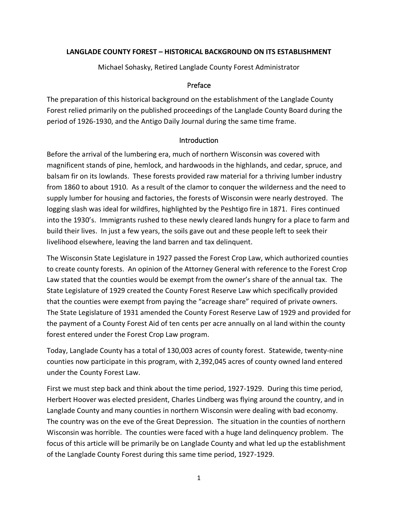### **LANGLADE COUNTY FOREST – HISTORICAL BACKGROUND ON ITS ESTABLISHMENT**

Michael Sohasky, Retired Langlade County Forest Administrator

#### Preface

The preparation of this historical background on the establishment of the Langlade County Forest relied primarily on the published proceedings of the Langlade County Board during the period of 1926-1930, and the Antigo Daily Journal during the same time frame.

#### **Introduction**

Before the arrival of the lumbering era, much of northern Wisconsin was covered with magnificent stands of pine, hemlock, and hardwoods in the highlands, and cedar, spruce, and balsam fir on its lowlands. These forests provided raw material for a thriving lumber industry from 1860 to about 1910. As a result of the clamor to conquer the wilderness and the need to supply lumber for housing and factories, the forests of Wisconsin were nearly destroyed. The logging slash was ideal for wildfires, highlighted by the Peshtigo fire in 1871. Fires continued into the 1930's. Immigrants rushed to these newly cleared lands hungry for a place to farm and build their lives. In just a few years, the soils gave out and these people left to seek their livelihood elsewhere, leaving the land barren and tax delinquent.

The Wisconsin State Legislature in 1927 passed the Forest Crop Law, which authorized counties to create county forests. An opinion of the Attorney General with reference to the Forest Crop Law stated that the counties would be exempt from the owner's share of the annual tax. The State Legislature of 1929 created the County Forest Reserve Law which specifically provided that the counties were exempt from paying the "acreage share" required of private owners. The State Legislature of 1931 amended the County Forest Reserve Law of 1929 and provided for the payment of a County Forest Aid of ten cents per acre annually on al land within the county forest entered under the Forest Crop Law program.

Today, Langlade County has a total of 130,003 acres of county forest. Statewide, twenty-nine counties now participate in this program, with 2,392,045 acres of county owned land entered under the County Forest Law.

First we must step back and think about the time period, 1927-1929. During this time period, Herbert Hoover was elected president, Charles Lindberg was flying around the country, and in Langlade County and many counties in northern Wisconsin were dealing with bad economy. The country was on the eve of the Great Depression. The situation in the counties of northern Wisconsin was horrible. The counties were faced with a huge land delinquency problem. The focus of this article will be primarily be on Langlade County and what led up the establishment of the Langlade County Forest during this same time period, 1927-1929.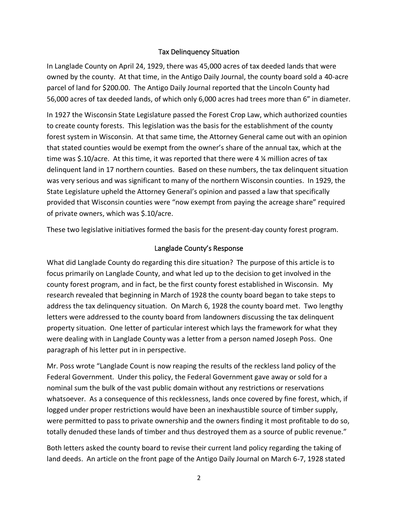### Tax Delinquency Situation

In Langlade County on April 24, 1929, there was 45,000 acres of tax deeded lands that were owned by the county. At that time, in the Antigo Daily Journal, the county board sold a 40-acre parcel of land for \$200.00. The Antigo Daily Journal reported that the Lincoln County had 56,000 acres of tax deeded lands, of which only 6,000 acres had trees more than 6" in diameter.

In 1927 the Wisconsin State Legislature passed the Forest Crop Law, which authorized counties to create county forests. This legislation was the basis for the establishment of the county forest system in Wisconsin. At that same time, the Attorney General came out with an opinion that stated counties would be exempt from the owner's share of the annual tax, which at the time was \$.10/acre. At this time, it was reported that there were 4 ¼ million acres of tax delinquent land in 17 northern counties. Based on these numbers, the tax delinquent situation was very serious and was significant to many of the northern Wisconsin counties. In 1929, the State Legislature upheld the Attorney General's opinion and passed a law that specifically provided that Wisconsin counties were "now exempt from paying the acreage share" required of private owners, which was \$.10/acre.

These two legislative initiatives formed the basis for the present-day county forest program.

### Langlade County's Response

What did Langlade County do regarding this dire situation? The purpose of this article is to focus primarily on Langlade County, and what led up to the decision to get involved in the county forest program, and in fact, be the first county forest established in Wisconsin. My research revealed that beginning in March of 1928 the county board began to take steps to address the tax delinquency situation. On March 6, 1928 the county board met. Two lengthy letters were addressed to the county board from landowners discussing the tax delinquent property situation. One letter of particular interest which lays the framework for what they were dealing with in Langlade County was a letter from a person named Joseph Poss. One paragraph of his letter put in in perspective.

Mr. Poss wrote "Langlade Count is now reaping the results of the reckless land policy of the Federal Government. Under this policy, the Federal Government gave away or sold for a nominal sum the bulk of the vast public domain without any restrictions or reservations whatsoever. As a consequence of this recklessness, lands once covered by fine forest, which, if logged under proper restrictions would have been an inexhaustible source of timber supply, were permitted to pass to private ownership and the owners finding it most profitable to do so, totally denuded these lands of timber and thus destroyed them as a source of public revenue."

Both letters asked the county board to revise their current land policy regarding the taking of land deeds. An article on the front page of the Antigo Daily Journal on March 6-7, 1928 stated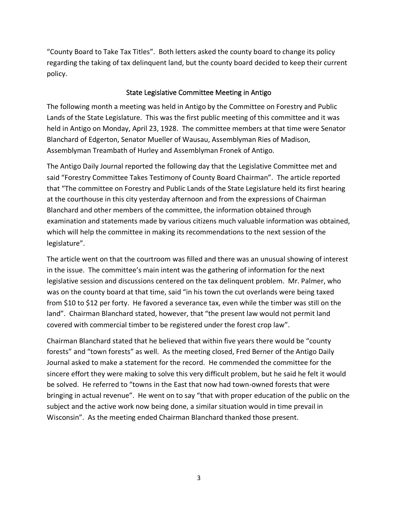"County Board to Take Tax Titles". Both letters asked the county board to change its policy regarding the taking of tax delinquent land, but the county board decided to keep their current policy.

### State Legislative Committee Meeting in Antigo

The following month a meeting was held in Antigo by the Committee on Forestry and Public Lands of the State Legislature. This was the first public meeting of this committee and it was held in Antigo on Monday, April 23, 1928. The committee members at that time were Senator Blanchard of Edgerton, Senator Mueller of Wausau, Assemblyman Ries of Madison, Assemblyman Treambath of Hurley and Assemblyman Fronek of Antigo.

The Antigo Daily Journal reported the following day that the Legislative Committee met and said "Forestry Committee Takes Testimony of County Board Chairman". The article reported that "The committee on Forestry and Public Lands of the State Legislature held its first hearing at the courthouse in this city yesterday afternoon and from the expressions of Chairman Blanchard and other members of the committee, the information obtained through examination and statements made by various citizens much valuable information was obtained, which will help the committee in making its recommendations to the next session of the legislature".

The article went on that the courtroom was filled and there was an unusual showing of interest in the issue. The committee's main intent was the gathering of information for the next legislative session and discussions centered on the tax delinquent problem. Mr. Palmer, who was on the county board at that time, said "in his town the cut overlands were being taxed from \$10 to \$12 per forty. He favored a severance tax, even while the timber was still on the land". Chairman Blanchard stated, however, that "the present law would not permit land covered with commercial timber to be registered under the forest crop law".

Chairman Blanchard stated that he believed that within five years there would be "county forests" and "town forests" as well. As the meeting closed, Fred Berner of the Antigo Daily Journal asked to make a statement for the record. He commended the committee for the sincere effort they were making to solve this very difficult problem, but he said he felt it would be solved. He referred to "towns in the East that now had town-owned forests that were bringing in actual revenue". He went on to say "that with proper education of the public on the subject and the active work now being done, a similar situation would in time prevail in Wisconsin". As the meeting ended Chairman Blanchard thanked those present.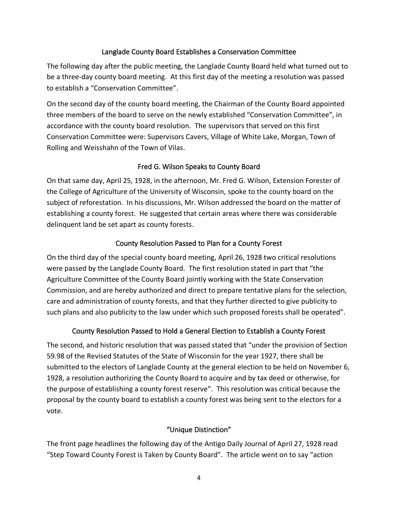## Langlade County Board Establishes a Conservation Committee

The following day after the public meeting, the Langlade County Board held what turned out to be a three-day county board meeting. At this first day of the meeting a resolution was passed to establish a "Conservation Committee".

On the second day of the county board meeting, the Chairman of the County Board appointed three members of the board to serve on the newly established "Conservation Committee", in accordance with the county board resolution. The supervisors that served on this first Conservation Committee were: Supervisors Cavers, Village of White Lake, Morgan, Town of Rolling and Weisshahn of the Town of Vilas.

# Fred G. Wilson Speaks to County Board

On that same day, April 25, 1928, in the afternoon, Mr. Fred G. Wilson, Extension Forester of the College of Agriculture of the University of Wisconsin, spoke to the county board on the subject of reforestation. In his discussions, Mr. Wilson addressed the board on the matter of establishing a county forest. He suggested that certain areas where there was considerable delinquent land be set apart as county forests.

## County Resolution Passed to Plan for a County Forest

On the third day of the special county board meeting, April 26, 1928 two critical resolutions were passed by the Langlade County Board. The first resolution stated in part that "the Agriculture Committee of the County Board jointly working with the State Conservation Commission, and are hereby authorized and direct to prepare tentative plans for the selection, care and administration of county forests, and that they further directed to give publicity to such plans and also publicity to the law under which such proposed forests shall be operated".

# County Resolution Passed to Hold a General Election to Establish a County Forest

The second, and historic resolution that was passed stated that "under the provision of Section 59.98 of the Revised Statutes of the State of Wisconsin for the year 1927, there shall be submitted to the electors of Langlade County at the general election to be held on November 6, 1928, a resolution authorizing the County Board to acquire and by tax deed or otherwise, for the purpose of establishing a county forest reserve". This resolution was critical because the proposal by the county board to establish a county forest was being sent to the electors for a vote.

### "Unique Distinction"

The front page headlines the following day of the Antigo Daily Journal of April 27, 1928 read "Step Toward County Forest is Taken by County Board". The article went on to say "action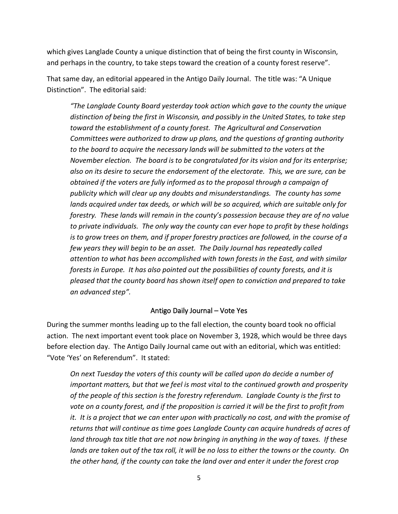which gives Langlade County a unique distinction that of being the first county in Wisconsin, and perhaps in the country, to take steps toward the creation of a county forest reserve".

That same day, an editorial appeared in the Antigo Daily Journal. The title was: "A Unique Distinction". The editorial said:

*"The Langlade County Board yesterday took action which gave to the county the unique distinction of being the first in Wisconsin, and possibly in the United States, to take step toward the establishment of a county forest. The Agricultural and Conservation Committees were authorized to draw up plans, and the questions of granting authority to the board to acquire the necessary lands will be submitted to the voters at the November election. The board is to be congratulated for its vision and for its enterprise; also on its desire to secure the endorsement of the electorate. This, we are sure, can be obtained if the voters are fully informed as to the proposal through a campaign of publicity which will clear up any doubts and misunderstandings. The county has some lands acquired under tax deeds, or which will be so acquired, which are suitable only for forestry. These lands will remain in the county's possession because they are of no value to private individuals. The only way the county can ever hope to profit by these holdings is to grow trees on them, and if proper forestry practices are followed, in the course of a few years they will begin to be an asset. The Daily Journal has repeatedly called attention to what has been accomplished with town forests in the East, and with similar forests in Europe. It has also pointed out the possibilities of county forests, and it is pleased that the county board has shown itself open to conviction and prepared to take an advanced step".*

#### Antigo Daily Journal – Vote Yes

During the summer months leading up to the fall election, the county board took no official action. The next important event took place on November 3, 1928, which would be three days before election day. The Antigo Daily Journal came out with an editorial, which was entitled: "Vote 'Yes' on Referendum". It stated:

*On next Tuesday the voters of this county will be called upon do decide a number of important matters, but that we feel is most vital to the continued growth and prosperity of the people of this section is the forestry referendum. Langlade County is the first to vote on a county forest, and if the proposition is carried it will be the first to profit from*  it. It is a project that we can enter upon with practically no cost, and with the promise of *returns that will continue as time goes Langlade County can acquire hundreds of acres of land through tax title that are not now bringing in anything in the way of taxes. If these lands are taken out of the tax roll, it will be no loss to either the towns or the county. On the other hand, if the county can take the land over and enter it under the forest crop*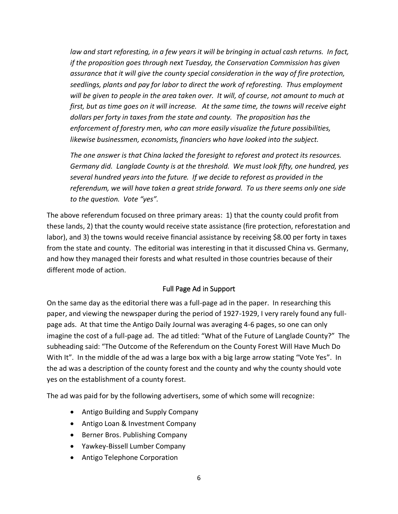*law and start reforesting, in a few years it will be bringing in actual cash returns. In fact, if the proposition goes through next Tuesday, the Conservation Commission has given assurance that it will give the county special consideration in the way of fire protection, seedlings, plants and pay for labor to direct the work of reforesting. Thus employment will be given to people in the area taken over. It will, of course, not amount to much at first, but as time goes on it will increase. At the same time, the towns will receive eight dollars per forty in taxes from the state and county. The proposition has the enforcement of forestry men, who can more easily visualize the future possibilities, likewise businessmen, economists, financiers who have looked into the subject.*

*The one answer is that China lacked the foresight to reforest and protect its resources. Germany did. Langlade County is at the threshold. We must look fifty, one hundred, yes several hundred years into the future. If we decide to reforest as provided in the referendum, we will have taken a great stride forward. To us there seems only one side to the question. Vote "yes".*

The above referendum focused on three primary areas: 1) that the county could profit from these lands, 2) that the county would receive state assistance (fire protection, reforestation and labor), and 3) the towns would receive financial assistance by receiving \$8.00 per forty in taxes from the state and county. The editorial was interesting in that it discussed China vs. Germany, and how they managed their forests and what resulted in those countries because of their different mode of action.

# Full Page Ad in Support

On the same day as the editorial there was a full-page ad in the paper. In researching this paper, and viewing the newspaper during the period of 1927-1929, I very rarely found any fullpage ads. At that time the Antigo Daily Journal was averaging 4-6 pages, so one can only imagine the cost of a full-page ad. The ad titled: "What of the Future of Langlade County?" The subheading said: "The Outcome of the Referendum on the County Forest Will Have Much Do With It". In the middle of the ad was a large box with a big large arrow stating "Vote Yes". In the ad was a description of the county forest and the county and why the county should vote yes on the establishment of a county forest.

The ad was paid for by the following advertisers, some of which some will recognize:

- Antigo Building and Supply Company
- Antigo Loan & Investment Company
- Berner Bros. Publishing Company
- Yawkey-Bissell Lumber Company
- Antigo Telephone Corporation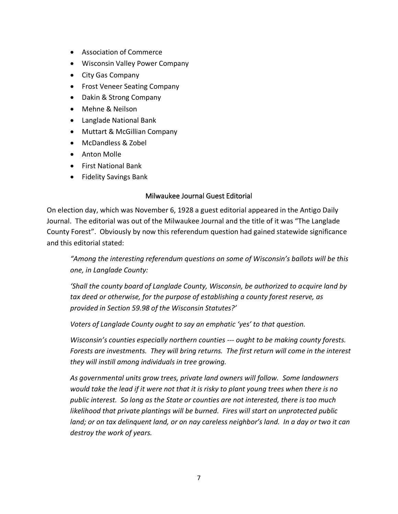- Association of Commerce
- Wisconsin Valley Power Company
- City Gas Company
- Frost Veneer Seating Company
- Dakin & Strong Company
- Mehne & Neilson
- Langlade National Bank
- Muttart & McGillian Company
- McDandless & Zobel
- Anton Molle
- First National Bank
- Fidelity Savings Bank

#### Milwaukee Journal Guest Editorial

On election day, which was November 6, 1928 a guest editorial appeared in the Antigo Daily Journal. The editorial was out of the Milwaukee Journal and the title of it was "The Langlade County Forest". Obviously by now this referendum question had gained statewide significance and this editorial stated:

*"Among the interesting referendum questions on some of Wisconsin's ballots will be this one, in Langlade County:*

*'Shall the county board of Langlade County, Wisconsin, be authorized to acquire land by tax deed or otherwise, for the purpose of establishing a county forest reserve, as provided in Section 59.98 of the Wisconsin Statutes?'*

*Voters of Langlade County ought to say an emphatic 'yes' to that question.*

*Wisconsin's counties especially northern counties --- ought to be making county forests. Forests are investments. They will bring returns. The first return will come in the interest they will instill among individuals in tree growing.*

*As governmental units grow trees, private land owners will follow. Some landowners would take the lead if it were not that it is risky to plant young trees when there is no public interest. So long as the State or counties are not interested, there is too much likelihood that private plantings will be burned. Fires will start on unprotected public*  land; or on tax delinguent land, or on nay careless neighbor's land. In a day or two it can *destroy the work of years.*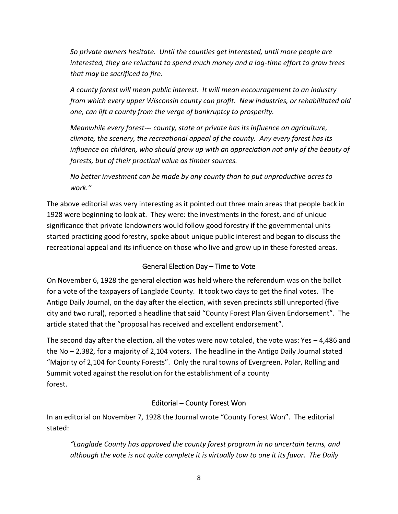*So private owners hesitate. Until the counties get interested, until more people are interested, they are reluctant to spend much money and a log-time effort to grow trees that may be sacrificed to fire.*

*A county forest will mean public interest. It will mean encouragement to an industry from which every upper Wisconsin county can profit. New industries, or rehabilitated old one, can lift a county from the verge of bankruptcy to prosperity.*

*Meanwhile every forest--- county, state or private has its influence on agriculture, climate, the scenery, the recreational appeal of the county. Any every forest has its*  influence on children, who should grow up with an appreciation not only of the beauty of *forests, but of their practical value as timber sources.*

*No better investment can be made by any county than to put unproductive acres to work."*

The above editorial was very interesting as it pointed out three main areas that people back in 1928 were beginning to look at. They were: the investments in the forest, and of unique significance that private landowners would follow good forestry if the governmental units started practicing good forestry, spoke about unique public interest and began to discuss the recreational appeal and its influence on those who live and grow up in these forested areas.

# General Election Day – Time to Vote

On November 6, 1928 the general election was held where the referendum was on the ballot for a vote of the taxpayers of Langlade County. It took two days to get the final votes. The Antigo Daily Journal, on the day after the election, with seven precincts still unreported (five city and two rural), reported a headline that said "County Forest Plan Given Endorsement". The article stated that the "proposal has received and excellent endorsement".

The second day after the election, all the votes were now totaled, the vote was: Yes – 4,486 and the No – 2,382, for a majority of 2,104 voters. The headline in the Antigo Daily Journal stated "Majority of 2,104 for County Forests". Only the rural towns of Evergreen, Polar, Rolling and Summit voted against the resolution for the establishment of a county forest.

# Editorial – County Forest Won

In an editorial on November 7, 1928 the Journal wrote "County Forest Won". The editorial stated:

*"Langlade County has approved the county forest program in no uncertain terms, and although the vote is not quite complete it is virtually tow to one it its favor. The Daily*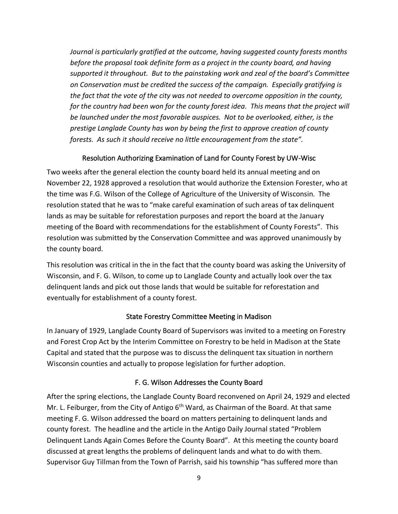*Journal is particularly gratified at the outcome, having suggested county forests months before the proposal took definite form as a project in the county board, and having supported it throughout. But to the painstaking work and zeal of the board's Committee on Conservation must be credited the success of the campaign. Especially gratifying is the fact that the vote of the city was not needed to overcome opposition in the county, for the country had been won for the county forest idea. This means that the project will be launched under the most favorable auspices. Not to be overlooked, either, is the prestige Langlade County has won by being the first to approve creation of county forests. As such it should receive no little encouragement from the state".*

### Resolution Authorizing Examination of Land for County Forest by UW-Wisc

Two weeks after the general election the county board held its annual meeting and on November 22, 1928 approved a resolution that would authorize the Extension Forester, who at the time was F.G. Wilson of the College of Agriculture of the University of Wisconsin. The resolution stated that he was to "make careful examination of such areas of tax delinquent lands as may be suitable for reforestation purposes and report the board at the January meeting of the Board with recommendations for the establishment of County Forests". This resolution was submitted by the Conservation Committee and was approved unanimously by the county board.

This resolution was critical in the in the fact that the county board was asking the University of Wisconsin, and F. G. Wilson, to come up to Langlade County and actually look over the tax delinquent lands and pick out those lands that would be suitable for reforestation and eventually for establishment of a county forest.

### State Forestry Committee Meeting in Madison

In January of 1929, Langlade County Board of Supervisors was invited to a meeting on Forestry and Forest Crop Act by the Interim Committee on Forestry to be held in Madison at the State Capital and stated that the purpose was to discuss the delinquent tax situation in northern Wisconsin counties and actually to propose legislation for further adoption.

### F. G. Wilson Addresses the County Board

After the spring elections, the Langlade County Board reconvened on April 24, 1929 and elected Mr. L. Feiburger, from the City of Antigo 6<sup>th</sup> Ward, as Chairman of the Board. At that same meeting F. G. Wilson addressed the board on matters pertaining to delinquent lands and county forest. The headline and the article in the Antigo Daily Journal stated "Problem Delinquent Lands Again Comes Before the County Board". At this meeting the county board discussed at great lengths the problems of delinquent lands and what to do with them. Supervisor Guy Tillman from the Town of Parrish, said his township "has suffered more than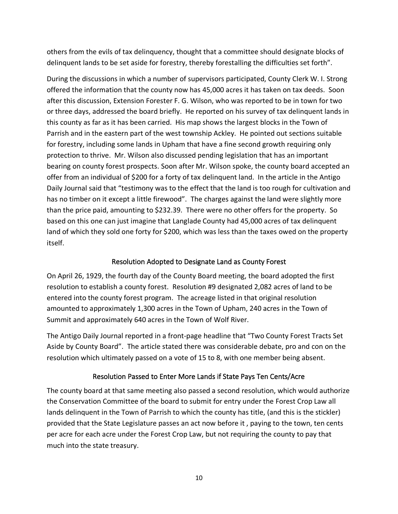others from the evils of tax delinquency, thought that a committee should designate blocks of delinquent lands to be set aside for forestry, thereby forestalling the difficulties set forth".

During the discussions in which a number of supervisors participated, County Clerk W. I. Strong offered the information that the county now has 45,000 acres it has taken on tax deeds. Soon after this discussion, Extension Forester F. G. Wilson, who was reported to be in town for two or three days, addressed the board briefly. He reported on his survey of tax delinquent lands in this county as far as it has been carried. His map shows the largest blocks in the Town of Parrish and in the eastern part of the west township Ackley. He pointed out sections suitable for forestry, including some lands in Upham that have a fine second growth requiring only protection to thrive. Mr. Wilson also discussed pending legislation that has an important bearing on county forest prospects. Soon after Mr. Wilson spoke, the county board accepted an offer from an individual of \$200 for a forty of tax delinquent land. In the article in the Antigo Daily Journal said that "testimony was to the effect that the land is too rough for cultivation and has no timber on it except a little firewood". The charges against the land were slightly more than the price paid, amounting to \$232.39. There were no other offers for the property. So based on this one can just imagine that Langlade County had 45,000 acres of tax delinquent land of which they sold one forty for \$200, which was less than the taxes owed on the property itself.

## Resolution Adopted to Designate Land as County Forest

On April 26, 1929, the fourth day of the County Board meeting, the board adopted the first resolution to establish a county forest. Resolution #9 designated 2,082 acres of land to be entered into the county forest program. The acreage listed in that original resolution amounted to approximately 1,300 acres in the Town of Upham, 240 acres in the Town of Summit and approximately 640 acres in the Town of Wolf River.

The Antigo Daily Journal reported in a front-page headline that "Two County Forest Tracts Set Aside by County Board". The article stated there was considerable debate, pro and con on the resolution which ultimately passed on a vote of 15 to 8, with one member being absent.

# Resolution Passed to Enter More Lands if State Pays Ten Cents/Acre

The county board at that same meeting also passed a second resolution, which would authorize the Conservation Committee of the board to submit for entry under the Forest Crop Law all lands delinquent in the Town of Parrish to which the county has title, (and this is the stickler) provided that the State Legislature passes an act now before it , paying to the town, ten cents per acre for each acre under the Forest Crop Law, but not requiring the county to pay that much into the state treasury.